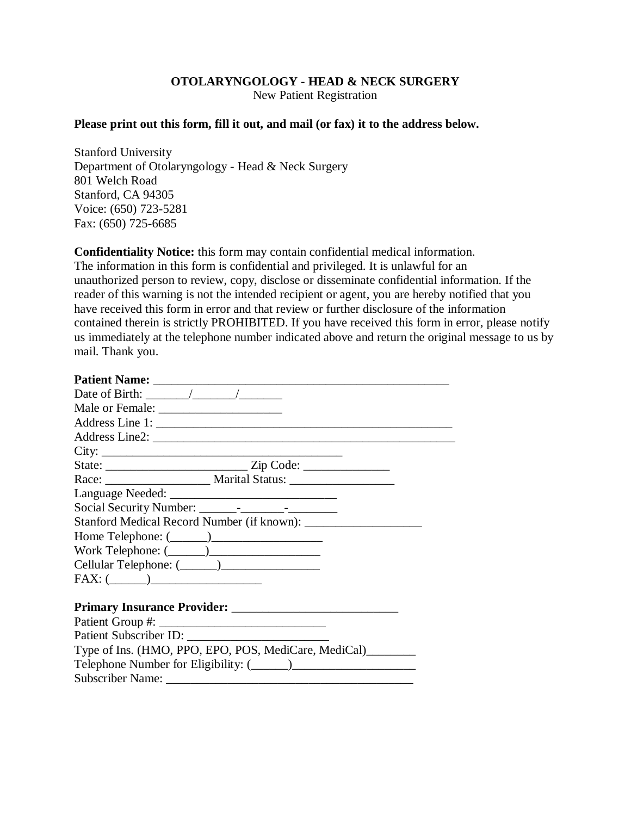## **OTOLARYNGOLOGY - HEAD & NECK SURGERY**

New Patient Registration

## **Please print out this form, fill it out, and mail (or fax) it to the address below.**

Stanford University Department of Otolaryngology - Head & Neck Surgery 801 Welch Road Stanford, CA 94305 Voice: (650) 723-5281 Fax: (650) 725-6685

**Confidentiality Notice:** this form may contain confidential medical information. The information in this form is confidential and privileged. It is unlawful for an unauthorized person to review, copy, disclose or disseminate confidential information. If the reader of this warning is not the intended recipient or agent, you are hereby notified that you have received this form in error and that review or further disclosure of the information contained therein is strictly PROHIBITED. If you have received this form in error, please notify us immediately at the telephone number indicated above and return the original message to us by mail. Thank you.

| Date of Birth: $\frac{\sqrt{2}}{2}$                                              |
|----------------------------------------------------------------------------------|
|                                                                                  |
| Address Line 1:                                                                  |
|                                                                                  |
|                                                                                  |
|                                                                                  |
| Race: _________________________ Marital Status: ________________________________ |
|                                                                                  |
|                                                                                  |
|                                                                                  |
|                                                                                  |
| Work Telephone: $(\_\_)$                                                         |
|                                                                                  |
| $FAX: (\_\_)$                                                                    |
|                                                                                  |
|                                                                                  |
|                                                                                  |
|                                                                                  |
| Type of Ins. (HMO, PPO, EPO, POS, MediCare, MediCal)________                     |
|                                                                                  |
|                                                                                  |